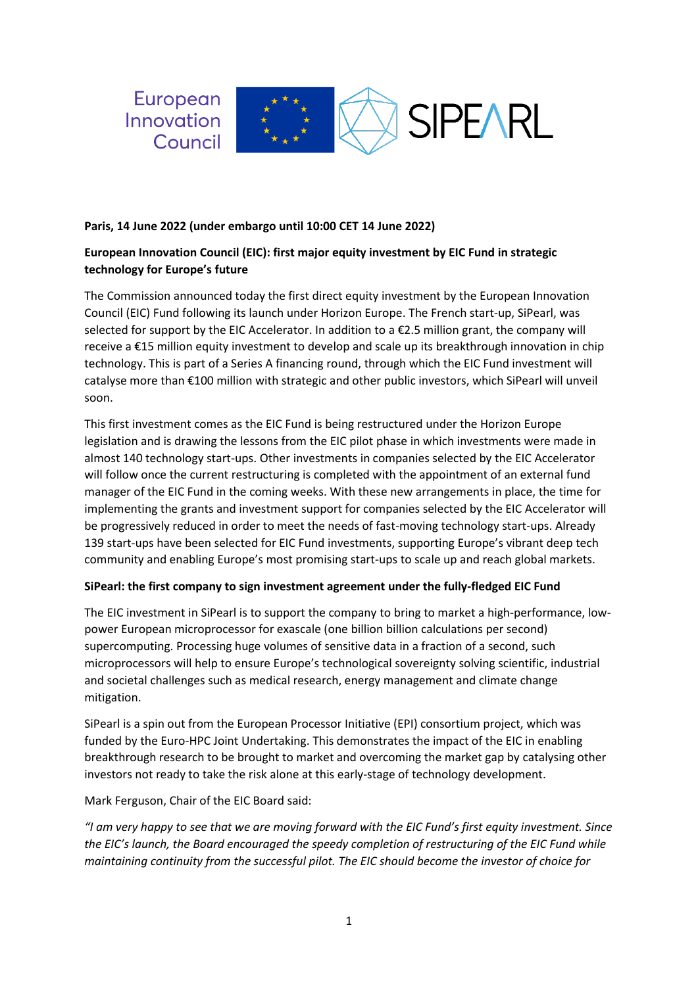

#### **Paris, 14 June 2022 (under embargo until 10:00 CET 14 June 2022)**

# **European Innovation Council (EIC): first major equity investment by EIC Fund in strategic technology for Europe's future**

The Commission announced today the first direct equity investment by the European Innovation Council (EIC) Fund following its launch under Horizon Europe. The French start-up, SiPearl, was selected for support by the EIC Accelerator. In addition to a €2.5 million grant, the company will receive a €15 million equity investment to develop and scale up its breakthrough innovation in chip technology. This is part of a Series A financing round, through which the EIC Fund investment will catalyse more than €100 million with strategic and other public investors, which SiPearl will unveil soon.

This first investment comes as the EIC Fund is being restructured under the Horizon Europe legislation and is drawing the lessons from the EIC pilot phase in which investments were made in almost 140 technology start-ups. Other investments in companies selected by the EIC Accelerator will follow once the current restructuring is completed with the appointment of an external fund manager of the EIC Fund in the coming weeks. With these new arrangements in place, the time for implementing the grants and investment support for companies selected by the EIC Accelerator will be progressively reduced in order to meet the needs of fast-moving technology start-ups. Already 139 start-ups have been selected for EIC Fund investments, supporting Europe's vibrant deep tech community and enabling Europe's most promising start-ups to scale up and reach global markets.

## **SiPearl: the first company to sign investment agreement under the fully-fledged EIC Fund**

The EIC investment in SiPearl is to support the company to bring to market a high-performance, lowpower European microprocessor for exascale (one billion billion calculations per second) supercomputing. Processing huge volumes of sensitive data in a fraction of a second, such microprocessors will help to ensure Europe's technological sovereignty solving scientific, industrial and societal challenges such as medical research, energy management and climate change mitigation.

SiPearl is a spin out from the European Processor Initiative (EPI) consortium project, which was funded by the Euro-HPC Joint Undertaking. This demonstrates the impact of the EIC in enabling breakthrough research to be brought to market and overcoming the market gap by catalysing other investors not ready to take the risk alone at this early-stage of technology development.

Mark Ferguson, Chair of the EIC Board said:

*"I am very happy to see that we are moving forward with the EIC Fund's first equity investment. Since the EIC's launch, the Board encouraged the speedy completion of restructuring of the EIC Fund while maintaining continuity from the successful pilot. The EIC should become the investor of choice for*